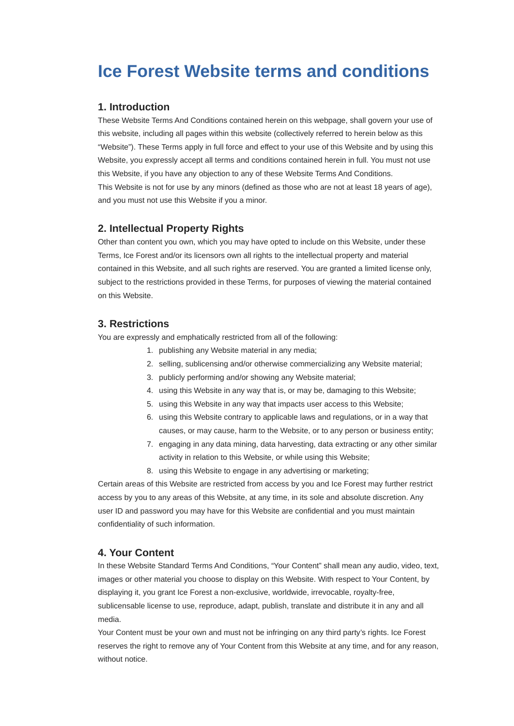# **Ice Forest Website terms and conditions**

# **1. Introduction**

These Website Terms And Conditions contained herein on this webpage, shall govern your use of this website, including all pages within this website (collectively referred to herein below as this "Website"). These Terms apply in full force and effect to your use of this Website and by using this Website, you expressly accept all terms and conditions contained herein in full. You must not use this Website, if you have any objection to any of these Website Terms And Conditions. This Website is not for use by any minors (defined as those who are not at least 18 years of age), and you must not use this Website if you a minor.

# **2. Intellectual Property Rights**

Other than content you own, which you may have opted to include on this Website, under these Terms, Ice Forest and/or its licensors own all rights to the intellectual property and material contained in this Website, and all such rights are reserved. You are granted a limited license only, subject to the restrictions provided in these Terms, for purposes of viewing the material contained on this Website.

# **3. Restrictions**

You are expressly and emphatically restricted from all of the following:

- 1. publishing any Website material in any media;
- 2. selling, sublicensing and/or otherwise commercializing any Website material;
- 3. publicly performing and/or showing any Website material;
- 4. using this Website in any way that is, or may be, damaging to this Website;
- 5. using this Website in any way that impacts user access to this Website;
- 6. using this Website contrary to applicable laws and regulations, or in a way that causes, or may cause, harm to the Website, or to any person or business entity;
- 7. engaging in any data mining, data harvesting, data extracting or any other similar activity in relation to this Website, or while using this Website;
- 8. using this Website to engage in any advertising or marketing;

Certain areas of this Website are restricted from access by you and Ice Forest may further restrict access by you to any areas of this Website, at any time, in its sole and absolute discretion. Any user ID and password you may have for this Website are confidential and you must maintain confidentiality of such information.

# **4. Your Content**

In these Website Standard Terms And Conditions, "Your Content" shall mean any audio, video, text, images or other material you choose to display on this Website. With respect to Your Content, by displaying it, you grant Ice Forest a non-exclusive, worldwide, irrevocable, royalty-free, sublicensable license to use, reproduce, adapt, publish, translate and distribute it in any and all media.

Your Content must be your own and must not be infringing on any third party's rights. Ice Forest reserves the right to remove any of Your Content from this Website at any time, and for any reason, without notice